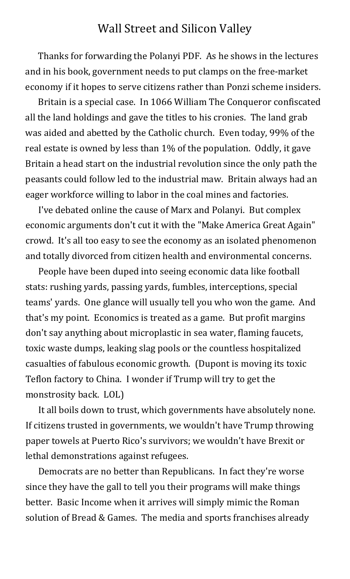## Wall Street and Silicon Valley

Thanks for forwarding the Polanyi PDF. As he shows in the lectures and in his book, government needs to put clamps on the free-market economy if it hopes to serve citizens rather than Ponzi scheme insiders.

Britain is a special case. In 1066 William The Conqueror confiscated all the land holdings and gave the titles to his cronies. The land grab was aided and abetted by the Catholic church. Even today, 99% of the real estate is owned by less than 1% of the population. Oddly, it gave Britain a head start on the industrial revolution since the only path the peasants could follow led to the industrial maw. Britain always had an eager workforce willing to labor in the coal mines and factories.

I've debated online the cause of Marx and Polanyi. But complex economic arguments don't cut it with the "Make America Great Again" crowd. It's all too easy to see the economy as an isolated phenomenon and totally divorced from citizen health and environmental concerns.

People have been duped into seeing economic data like football stats: rushing yards, passing yards, fumbles, interceptions, special teams' yards. One glance will usually tell you who won the game. And that's my point. Economics is treated as a game. But profit margins don't say anything about microplastic in sea water, flaming faucets, toxic waste dumps, leaking slag pools or the countless hospitalized casualties of fabulous economic growth. (Dupont is moving its toxic Teflon factory to China. I wonder if Trump will try to get the monstrosity back. LOL)

It all boils down to trust, which governments have absolutely none. If citizens trusted in governments, we wouldn't have Trump throwing paper towels at Puerto Rico's survivors; we wouldn't have Brexit or lethal demonstrations against refugees.

Democrats are no better than Republicans. In fact they're worse since they have the gall to tell you their programs will make things better. Basic Income when it arrives will simply mimic the Roman solution of Bread & Games. The media and sports franchises already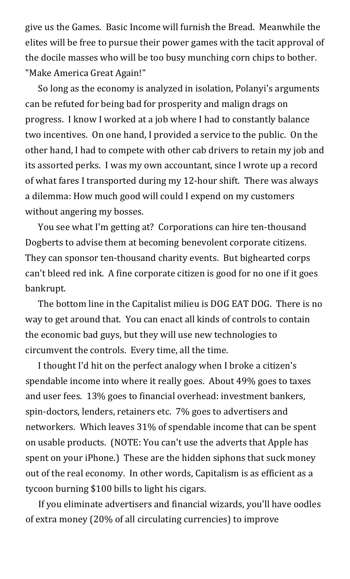give us the Games. Basic Income will furnish the Bread. Meanwhile the elites will be free to pursue their power games with the tacit approval of the docile masses who will be too busy munching corn chips to bother. "Make America Great Again!"

So long as the economy is analyzed in isolation, Polanyi's arguments can be refuted for being bad for prosperity and malign drags on progress. I know I worked at a job where I had to constantly balance two incentives. On one hand, I provided a service to the public. On the other hand, I had to compete with other cab drivers to retain my job and its assorted perks. I was my own accountant, since I wrote up a record of what fares I transported during my 12-hour shift. There was always a dilemma: How much good will could I expend on my customers without angering my bosses.

You see what I'm getting at? Corporations can hire ten-thousand Dogberts to advise them at becoming benevolent corporate citizens. They can sponsor ten-thousand charity events. But bighearted corps can't bleed red ink. A fine corporate citizen is good for no one if it goes bankrupt.

The bottom line in the Capitalist milieu is DOG EAT DOG. There is no way to get around that. You can enact all kinds of controls to contain the economic bad guys, but they will use new technologies to circumvent the controls. Every time, all the time.

I thought I'd hit on the perfect analogy when I broke a citizen's spendable income into where it really goes. About 49% goes to taxes and user fees. 13% goes to financial overhead: investment bankers, spin-doctors, lenders, retainers etc. 7% goes to advertisers and networkers. Which leaves 31% of spendable income that can be spent on usable products. (NOTE: You can't use the adverts that Apple has spent on your iPhone.) These are the hidden siphons that suck money out of the real economy. In other words, Capitalism is as efficient as a tycoon burning \$100 bills to light his cigars.

If you eliminate advertisers and financial wizards, you'll have oodles of extra money (20% of all circulating currencies) to improve